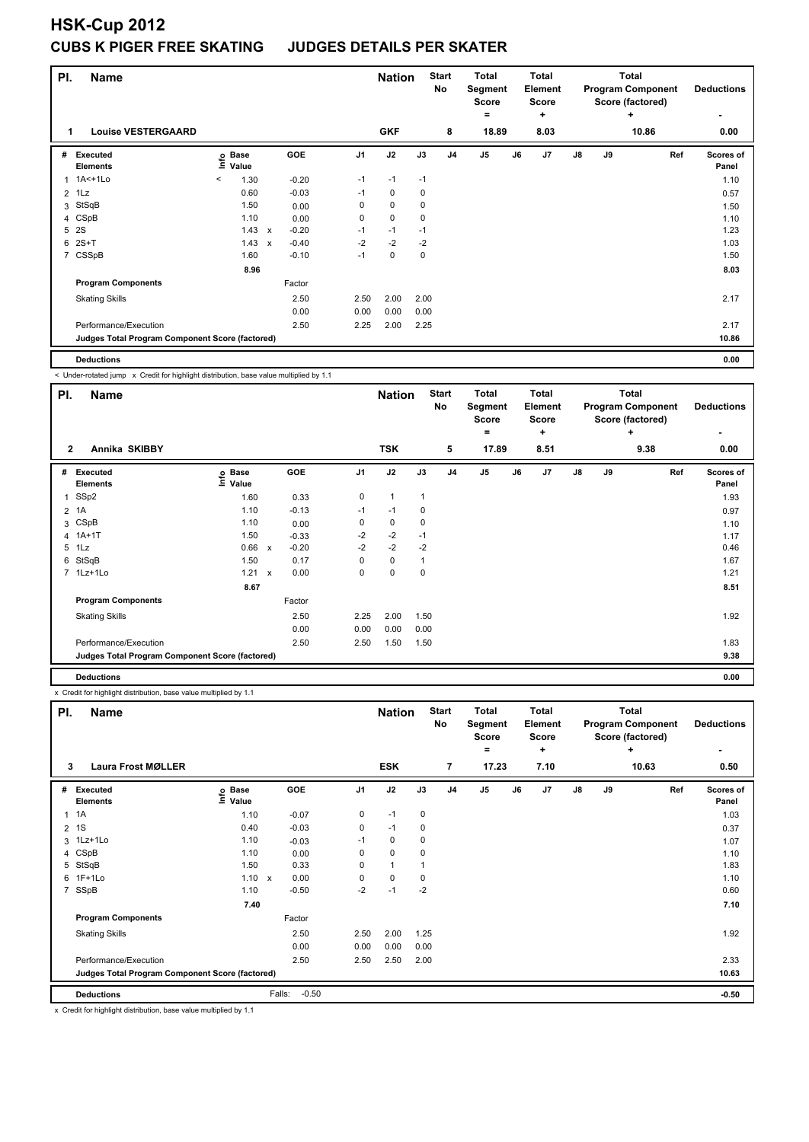# **HSK-Cup 2012 CUBS K PIGER FREE SKATING**

| PI.            | <b>Name</b>                                     |         |                      |                           |            |                | <b>Nation</b> |      | <b>Start</b><br>No | <b>Total</b><br>Segment<br><b>Score</b><br>۰ |    | <b>Total</b><br>Element<br><b>Score</b><br>÷ |               |    | <b>Total</b><br><b>Program Component</b><br>Score (factored)<br>÷ |     | <b>Deductions</b>  |
|----------------|-------------------------------------------------|---------|----------------------|---------------------------|------------|----------------|---------------|------|--------------------|----------------------------------------------|----|----------------------------------------------|---------------|----|-------------------------------------------------------------------|-----|--------------------|
| 1              | <b>Louise VESTERGAARD</b>                       |         |                      |                           |            |                | <b>GKF</b>    |      | 8                  | 18.89                                        |    | 8.03                                         |               |    | 10.86                                                             |     | 0.00               |
| #              | Executed<br><b>Elements</b>                     | lnfo    | <b>Base</b><br>Value |                           | <b>GOE</b> | J <sub>1</sub> | J2            | J3   | J <sub>4</sub>     | J <sub>5</sub>                               | J6 | J <sub>7</sub>                               | $\mathsf{J}8$ | J9 |                                                                   | Ref | Scores of<br>Panel |
|                | 1 1A<+1Lo                                       | $\prec$ | 1.30                 |                           | $-0.20$    | $-1$           | $-1$          | $-1$ |                    |                                              |    |                                              |               |    |                                                                   |     | 1.10               |
| $\overline{2}$ | 1Lz                                             |         | 0.60                 |                           | $-0.03$    | $-1$           | $\mathbf 0$   | 0    |                    |                                              |    |                                              |               |    |                                                                   |     | 0.57               |
| 3              | StSqB                                           |         | 1.50                 |                           | 0.00       | 0              | $\mathbf 0$   | 0    |                    |                                              |    |                                              |               |    |                                                                   |     | 1.50               |
|                | 4 CSpB                                          |         | 1.10                 |                           | 0.00       | 0              | 0             | 0    |                    |                                              |    |                                              |               |    |                                                                   |     | 1.10               |
| 5              | <b>2S</b>                                       |         | 1.43                 | $\boldsymbol{\mathsf{x}}$ | $-0.20$    | $-1$           | $-1$          | $-1$ |                    |                                              |    |                                              |               |    |                                                                   |     | 1.23               |
| 6              | $2S+T$                                          |         | 1.43                 | X                         | $-0.40$    | $-2$           | $-2$          | $-2$ |                    |                                              |    |                                              |               |    |                                                                   |     | 1.03               |
| $\overline{7}$ | CSSpB                                           |         | 1.60                 |                           | $-0.10$    | $-1$           | 0             | 0    |                    |                                              |    |                                              |               |    |                                                                   |     | 1.50               |
|                |                                                 |         | 8.96                 |                           |            |                |               |      |                    |                                              |    |                                              |               |    |                                                                   |     | 8.03               |
|                | <b>Program Components</b>                       |         |                      |                           | Factor     |                |               |      |                    |                                              |    |                                              |               |    |                                                                   |     |                    |
|                | <b>Skating Skills</b>                           |         |                      |                           | 2.50       | 2.50           | 2.00          | 2.00 |                    |                                              |    |                                              |               |    |                                                                   |     | 2.17               |
|                |                                                 |         |                      |                           | 0.00       | 0.00           | 0.00          | 0.00 |                    |                                              |    |                                              |               |    |                                                                   |     |                    |
|                | Performance/Execution                           |         |                      |                           | 2.50       | 2.25           | 2.00          | 2.25 |                    |                                              |    |                                              |               |    |                                                                   |     | 2.17               |
|                | Judges Total Program Component Score (factored) |         |                      |                           |            |                |               |      |                    |                                              |    |                                              |               |    |                                                                   |     | 10.86              |
|                |                                                 |         |                      |                           |            |                |               |      |                    |                                              |    |                                              |               |    |                                                                   |     |                    |

**Deductions 0.00**

ı

< Under-rotated jump x Credit for highlight distribution, base value multiplied by 1.1

| PI.            | <b>Name</b>                                     |                              |              |            |                | <b>Nation</b> |              | <b>Start</b><br>No | <b>Total</b><br>Segment<br><b>Score</b><br>۰ |    | <b>Total</b><br>Element<br>Score<br>÷ |               |    | <b>Total</b><br><b>Program Component</b><br>Score (factored)<br>÷ |     | <b>Deductions</b>  |
|----------------|-------------------------------------------------|------------------------------|--------------|------------|----------------|---------------|--------------|--------------------|----------------------------------------------|----|---------------------------------------|---------------|----|-------------------------------------------------------------------|-----|--------------------|
| $\overline{2}$ | Annika SKIBBY                                   |                              |              |            |                | <b>TSK</b>    |              | 5                  | 17.89                                        |    | 8.51                                  |               |    | 9.38                                                              |     | 0.00               |
| #              | Executed<br><b>Elements</b>                     | <b>Base</b><br>١nf٥<br>Value |              | <b>GOE</b> | J <sub>1</sub> | J2            | J3           | J <sub>4</sub>     | J <sub>5</sub>                               | J6 | J7                                    | $\mathsf{J}8$ | J9 |                                                                   | Ref | Scores of<br>Panel |
| 1              | SSp2                                            | 1.60                         |              | 0.33       | 0              | $\mathbf{1}$  | $\mathbf{1}$ |                    |                                              |    |                                       |               |    |                                                                   |     | 1.93               |
|                | 2 1A                                            | 1.10                         |              | $-0.13$    | $-1$           | $-1$          | 0            |                    |                                              |    |                                       |               |    |                                                                   |     | 0.97               |
| 3              | CSpB                                            | 1.10                         |              | 0.00       | 0              | 0             | 0            |                    |                                              |    |                                       |               |    |                                                                   |     | 1.10               |
| $\overline{4}$ | $1A+1T$                                         | 1.50                         |              | $-0.33$    | $-2$           | $-2$          | $-1$         |                    |                                              |    |                                       |               |    |                                                                   |     | 1.17               |
| 5              | 1Lz                                             | 0.66                         | $\mathsf{x}$ | $-0.20$    | $-2$           | $-2$          | $-2$         |                    |                                              |    |                                       |               |    |                                                                   |     | 0.46               |
| 6              | StSqB                                           | 1.50                         |              | 0.17       | 0              | $\mathbf 0$   | 1            |                    |                                              |    |                                       |               |    |                                                                   |     | 1.67               |
|                | 7 1Lz+1Lo                                       | 1.21                         | X            | 0.00       | 0              | $\mathbf 0$   | 0            |                    |                                              |    |                                       |               |    |                                                                   |     | 1.21               |
|                |                                                 | 8.67                         |              |            |                |               |              |                    |                                              |    |                                       |               |    |                                                                   |     | 8.51               |
|                | <b>Program Components</b>                       |                              |              | Factor     |                |               |              |                    |                                              |    |                                       |               |    |                                                                   |     |                    |
|                | <b>Skating Skills</b>                           |                              |              | 2.50       | 2.25           | 2.00          | 1.50         |                    |                                              |    |                                       |               |    |                                                                   |     | 1.92               |
|                |                                                 |                              |              | 0.00       | 0.00           | 0.00          | 0.00         |                    |                                              |    |                                       |               |    |                                                                   |     |                    |
|                | Performance/Execution                           |                              |              | 2.50       | 2.50           | 1.50          | 1.50         |                    |                                              |    |                                       |               |    |                                                                   |     | 1.83               |
|                | Judges Total Program Component Score (factored) |                              |              |            |                |               |              |                    |                                              |    |                                       |               |    |                                                                   |     | 9.38               |
|                | <b>Deductions</b>                               |                              |              |            |                |               |              |                    |                                              |    |                                       |               |    |                                                                   |     | 0.00               |

x Credit for highlight distribution, base value multiplied by 1.1

| PI.            | <b>Name</b>                                     |                   |                      |                | <b>Nation</b> |             | <b>Start</b><br>No | <b>Total</b><br>Segment<br><b>Score</b><br>= |    | <b>Total</b><br>Element<br>Score<br>÷ |               |    | <b>Total</b><br><b>Program Component</b><br>Score (factored)<br>÷ | <b>Deductions</b><br>۰ |
|----------------|-------------------------------------------------|-------------------|----------------------|----------------|---------------|-------------|--------------------|----------------------------------------------|----|---------------------------------------|---------------|----|-------------------------------------------------------------------|------------------------|
| 3              | <b>Laura Frost MØLLER</b>                       |                   |                      |                | <b>ESK</b>    |             | $\overline{7}$     | 17.23                                        |    | 7.10                                  |               |    | 10.63                                                             | 0.50                   |
| #              | Executed<br><b>Elements</b>                     | e Base<br>⊆ Value | <b>GOE</b>           | J <sub>1</sub> | J2            | J3          | J <sub>4</sub>     | J5                                           | J6 | J7                                    | $\mathsf{J}8$ | J9 | Ref                                                               | Scores of<br>Panel     |
| 1              | 1A                                              | 1.10              | $-0.07$              | 0              | $-1$          | $\mathbf 0$ |                    |                                              |    |                                       |               |    |                                                                   | 1.03                   |
| $\overline{2}$ | 1S                                              | 0.40              | $-0.03$              | 0              | $-1$          | 0           |                    |                                              |    |                                       |               |    |                                                                   | 0.37                   |
|                | 3 1Lz+1Lo                                       | 1.10              | $-0.03$              | $-1$           | 0             | 0           |                    |                                              |    |                                       |               |    |                                                                   | 1.07                   |
| 4              | CSpB                                            | 1.10              | 0.00                 | 0              | $\mathbf 0$   | 0           |                    |                                              |    |                                       |               |    |                                                                   | 1.10                   |
| 5              | StSqB                                           | 1.50              | 0.33                 | 0              | $\mathbf{1}$  |             |                    |                                              |    |                                       |               |    |                                                                   | 1.83                   |
| 6              | $1F+1Lo$                                        | 1.10              | 0.00<br>$\mathsf{x}$ | 0              | $\mathbf 0$   | 0           |                    |                                              |    |                                       |               |    |                                                                   | 1.10                   |
| 7              | SSpB                                            | 1.10              | $-0.50$              | $-2$           | $-1$          | $-2$        |                    |                                              |    |                                       |               |    |                                                                   | 0.60                   |
|                |                                                 | 7.40              |                      |                |               |             |                    |                                              |    |                                       |               |    |                                                                   | 7.10                   |
|                | <b>Program Components</b>                       |                   | Factor               |                |               |             |                    |                                              |    |                                       |               |    |                                                                   |                        |
|                | <b>Skating Skills</b>                           |                   | 2.50                 | 2.50           | 2.00          | 1.25        |                    |                                              |    |                                       |               |    |                                                                   | 1.92                   |
|                |                                                 |                   | 0.00                 | 0.00           | 0.00          | 0.00        |                    |                                              |    |                                       |               |    |                                                                   |                        |
|                | Performance/Execution                           |                   | 2.50                 | 2.50           | 2.50          | 2.00        |                    |                                              |    |                                       |               |    |                                                                   | 2.33                   |
|                | Judges Total Program Component Score (factored) |                   |                      |                |               |             |                    |                                              |    |                                       |               |    |                                                                   | 10.63                  |
|                | <b>Deductions</b>                               |                   | Falls:<br>$-0.50$    |                |               |             |                    |                                              |    |                                       |               |    |                                                                   | $-0.50$                |

x Credit for highlight distribution, base value multiplied by 1.1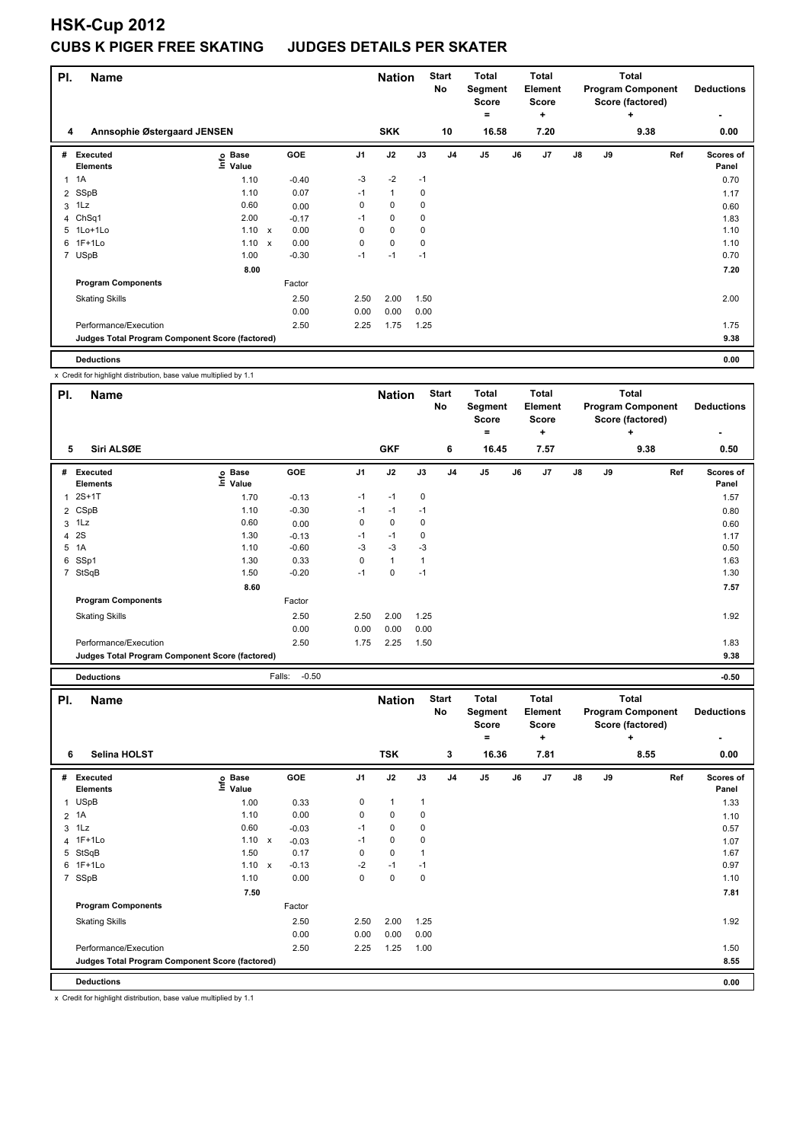# **HSK-Cup 2012 CUBS K PIGER FREE SKATING JUDGES DETAILS PER SKATER**

| PI. | <b>Name</b>                                     |                              |              |            |                | <b>Nation</b> |             | <b>Start</b><br>No | Total<br>Segment<br><b>Score</b><br>۰ |    | Total<br><b>Element</b><br>Score<br>٠ |               |    | Total<br><b>Program Component</b><br>Score (factored)<br>÷ | <b>Deductions</b><br>٠ |
|-----|-------------------------------------------------|------------------------------|--------------|------------|----------------|---------------|-------------|--------------------|---------------------------------------|----|---------------------------------------|---------------|----|------------------------------------------------------------|------------------------|
| 4   | Annsophie Østergaard JENSEN                     |                              |              |            |                | <b>SKK</b>    |             | 10                 | 16.58                                 |    | 7.20                                  |               |    | 9.38                                                       | 0.00                   |
| #   | Executed<br><b>Elements</b>                     | <b>Base</b><br>١nfo<br>Value |              | <b>GOE</b> | J <sub>1</sub> | J2            | J3          | J <sub>4</sub>     | J <sub>5</sub>                        | J6 | J7                                    | $\mathsf{J}8$ | J9 | Ref                                                        | Scores of<br>Panel     |
|     | $1 \t1A$                                        | 1.10                         |              | $-0.40$    | -3             | $-2$          | $-1$        |                    |                                       |    |                                       |               |    |                                                            | 0.70                   |
|     | 2 SSpB                                          | 1.10                         |              | 0.07       | $-1$           | $\mathbf{1}$  | 0           |                    |                                       |    |                                       |               |    |                                                            | 1.17                   |
|     | $3$ 1 Lz                                        | 0.60                         |              | 0.00       | 0              | $\mathbf 0$   | $\mathbf 0$ |                    |                                       |    |                                       |               |    |                                                            | 0.60                   |
|     | 4 ChSq1                                         | 2.00                         |              | $-0.17$    | $-1$           | 0             | 0           |                    |                                       |    |                                       |               |    |                                                            | 1.83                   |
|     | 5 1Lo+1Lo                                       | 1.10                         | $\mathsf{x}$ | 0.00       | 0              | $\mathbf 0$   | 0           |                    |                                       |    |                                       |               |    |                                                            | 1.10                   |
|     | 6 1F+1Lo                                        | 1.10                         | $\mathsf{x}$ | 0.00       | $\mathbf 0$    | $\mathbf 0$   | 0           |                    |                                       |    |                                       |               |    |                                                            | 1.10                   |
|     | 7 USpB                                          | 1.00                         |              | $-0.30$    | $-1$           | $-1$          | $-1$        |                    |                                       |    |                                       |               |    |                                                            | 0.70                   |
|     |                                                 | 8.00                         |              |            |                |               |             |                    |                                       |    |                                       |               |    |                                                            | 7.20                   |
|     | <b>Program Components</b>                       |                              |              | Factor     |                |               |             |                    |                                       |    |                                       |               |    |                                                            |                        |
|     | <b>Skating Skills</b>                           |                              |              | 2.50       | 2.50           | 2.00          | 1.50        |                    |                                       |    |                                       |               |    |                                                            | 2.00                   |
|     |                                                 |                              |              | 0.00       | 0.00           | 0.00          | 0.00        |                    |                                       |    |                                       |               |    |                                                            |                        |
|     | Performance/Execution                           |                              |              | 2.50       | 2.25           | 1.75          | 1.25        |                    |                                       |    |                                       |               |    |                                                            | 1.75                   |
|     | Judges Total Program Component Score (factored) |                              |              |            |                |               |             |                    |                                       |    |                                       |               |    |                                                            | 9.38                   |
|     | <b>Deductions</b>                               |                              |              |            |                |               |             |                    |                                       |    |                                       |               |    |                                                            | 0.00                   |

x Credit for highlight distribution, base value multiplied by 1.1

| PI. | <b>Name</b>                                     |                            |                   |                | <b>Nation</b>  |             | <b>Start</b><br>No | <b>Total</b><br>Segment<br><b>Score</b> |    | <b>Total</b><br>Element<br><b>Score</b> |    |    | Total<br><b>Program Component</b><br>Score (factored) |     | <b>Deductions</b>  |
|-----|-------------------------------------------------|----------------------------|-------------------|----------------|----------------|-------------|--------------------|-----------------------------------------|----|-----------------------------------------|----|----|-------------------------------------------------------|-----|--------------------|
|     |                                                 |                            |                   |                |                |             |                    | $\equiv$                                |    | ÷                                       |    |    | ÷                                                     |     |                    |
| 5   | Siri ALSØE                                      |                            |                   |                | <b>GKF</b>     |             | 6                  | 16.45                                   |    | 7.57                                    |    |    | 9.38                                                  |     | 0.50               |
| #   | Executed<br><b>Elements</b>                     | e Base<br>E Value<br>Value | <b>GOE</b>        | J <sub>1</sub> | J2             | J3          | J <sub>4</sub>     | J <sub>5</sub>                          | J6 | J7                                      | J8 | J9 |                                                       | Ref | Scores of<br>Panel |
|     | $2S+1T$                                         | 1.70                       | $-0.13$           | $-1$           | $-1$           | 0           |                    |                                         |    |                                         |    |    |                                                       |     | 1.57               |
|     | 2 CSpB                                          | 1.10                       | $-0.30$           | $-1$           | $-1$           | $-1$        |                    |                                         |    |                                         |    |    |                                                       |     | 0.80               |
| 3   | 1Lz                                             | 0.60                       | 0.00              | 0              | $\mathbf 0$    | $\mathbf 0$ |                    |                                         |    |                                         |    |    |                                                       |     | 0.60               |
| 4   | 2S                                              | 1.30                       | $-0.13$           | $-1$           | $-1$           | 0           |                    |                                         |    |                                         |    |    |                                                       |     | 1.17               |
| 5   | 1A                                              | 1.10                       | $-0.60$           | $-3$           | $-3$           | $-3$        |                    |                                         |    |                                         |    |    |                                                       |     | 0.50               |
| 6   | SSp1                                            | 1.30                       | 0.33              | 0              | $\overline{1}$ | 1           |                    |                                         |    |                                         |    |    |                                                       |     | 1.63               |
|     | 7 StSqB                                         | 1.50                       | $-0.20$           | $-1$           | 0              | $-1$        |                    |                                         |    |                                         |    |    |                                                       |     | 1.30               |
|     |                                                 | 8.60                       |                   |                |                |             |                    |                                         |    |                                         |    |    |                                                       |     | 7.57               |
|     | <b>Program Components</b>                       |                            | Factor            |                |                |             |                    |                                         |    |                                         |    |    |                                                       |     |                    |
|     | <b>Skating Skills</b>                           |                            | 2.50              | 2.50           | 2.00           | 1.25        |                    |                                         |    |                                         |    |    |                                                       |     | 1.92               |
|     |                                                 |                            | 0.00              | 0.00           | 0.00           | 0.00        |                    |                                         |    |                                         |    |    |                                                       |     |                    |
|     | Performance/Execution                           |                            | 2.50              | 1.75           | 2.25           | 1.50        |                    |                                         |    |                                         |    |    |                                                       |     | 1.83               |
|     | Judges Total Program Component Score (factored) |                            |                   |                |                |             |                    |                                         |    |                                         |    |    |                                                       |     | 9.38               |
|     | <b>Deductions</b>                               |                            | $-0.50$<br>Falls: |                |                |             |                    |                                         |    |                                         |    |    |                                                       |     | $-0.50$            |

| PI.            | <b>Name</b>                                     |                              |                           |            |                | <b>Nation</b> |              | <b>Start</b><br>No | <b>Total</b><br>Segment<br><b>Score</b><br>۰ |       | Total<br>Element<br><b>Score</b><br>÷ |               |    | <b>Total</b><br><b>Program Component</b><br>Score (factored)<br>÷ | <b>Deductions</b><br>۰    |
|----------------|-------------------------------------------------|------------------------------|---------------------------|------------|----------------|---------------|--------------|--------------------|----------------------------------------------|-------|---------------------------------------|---------------|----|-------------------------------------------------------------------|---------------------------|
| 6              | Selina HOLST                                    |                              |                           |            |                | <b>TSK</b>    |              | 3                  |                                              | 16.36 | 7.81                                  |               |    | 8.55                                                              | 0.00                      |
| #              | Executed<br><b>Elements</b>                     | <b>Base</b><br>lnfo<br>Value |                           | <b>GOE</b> | J <sub>1</sub> | J2            | J3           | J <sub>4</sub>     | J <sub>5</sub>                               | J6    | J7                                    | $\mathsf{J}8$ | J9 | Ref                                                               | <b>Scores of</b><br>Panel |
| 1              | <b>USpB</b>                                     | 1.00                         |                           | 0.33       | 0              | $\mathbf{1}$  | $\mathbf{1}$ |                    |                                              |       |                                       |               |    |                                                                   | 1.33                      |
|                | 2 1A                                            | 1.10                         |                           | 0.00       | 0              | $\mathbf 0$   | 0            |                    |                                              |       |                                       |               |    |                                                                   | 1.10                      |
| 3              | 1Lz                                             | 0.60                         |                           | $-0.03$    | $-1$           | $\Omega$      | $\mathbf 0$  |                    |                                              |       |                                       |               |    |                                                                   | 0.57                      |
|                | 4 1F+1Lo                                        | 1.10                         | $\mathsf{x}$              | $-0.03$    | $-1$           | $\mathbf 0$   | 0            |                    |                                              |       |                                       |               |    |                                                                   | 1.07                      |
| 5              | StSqB                                           | 1.50                         |                           | 0.17       | 0              | $\mathbf 0$   |              |                    |                                              |       |                                       |               |    |                                                                   | 1.67                      |
| 6              | $1F+1Lo$                                        | 1.10                         | $\boldsymbol{\mathsf{x}}$ | $-0.13$    | $-2$           | $-1$          | $-1$         |                    |                                              |       |                                       |               |    |                                                                   | 0.97                      |
| $\overline{7}$ | SSpB                                            | 1.10                         |                           | 0.00       | 0              | $\pmb{0}$     | 0            |                    |                                              |       |                                       |               |    |                                                                   | 1.10                      |
|                |                                                 | 7.50                         |                           |            |                |               |              |                    |                                              |       |                                       |               |    |                                                                   | 7.81                      |
|                | <b>Program Components</b>                       |                              |                           | Factor     |                |               |              |                    |                                              |       |                                       |               |    |                                                                   |                           |
|                | <b>Skating Skills</b>                           |                              |                           | 2.50       | 2.50           | 2.00          | 1.25         |                    |                                              |       |                                       |               |    |                                                                   | 1.92                      |
|                |                                                 |                              |                           | 0.00       | 0.00           | 0.00          | 0.00         |                    |                                              |       |                                       |               |    |                                                                   |                           |
|                | Performance/Execution                           |                              |                           | 2.50       | 2.25           | 1.25          | 1.00         |                    |                                              |       |                                       |               |    |                                                                   | 1.50                      |
|                | Judges Total Program Component Score (factored) |                              |                           |            |                |               |              |                    |                                              |       |                                       |               |    |                                                                   | 8.55                      |
|                | <b>Deductions</b>                               |                              |                           |            |                |               |              |                    |                                              |       |                                       |               |    |                                                                   | 0.00                      |

x Credit for highlight distribution, base value multiplied by 1.1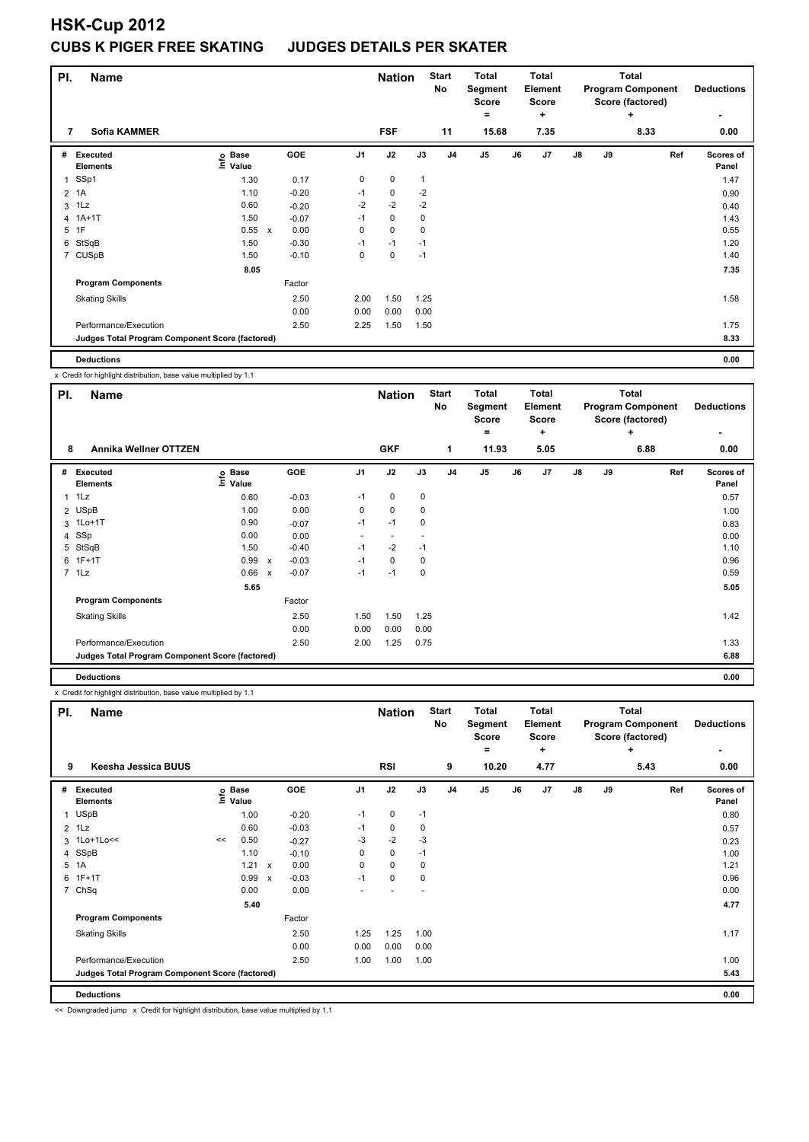# **HSK-Cup 2012 CUBS K PIGER FREE SKATING JUDGES DETAILS PER SKATER**

| PI. | <b>Name</b>                                     |                              |         |                | <b>Nation</b> | <b>Start</b><br>No |                | <b>Total</b><br>Segment<br><b>Score</b><br>Ξ. |    | <b>Total</b><br><b>Element</b><br><b>Score</b><br>٠ |    |    | <b>Total</b><br><b>Program Component</b><br>Score (factored)<br>÷ | <b>Deductions</b><br>۰    |
|-----|-------------------------------------------------|------------------------------|---------|----------------|---------------|--------------------|----------------|-----------------------------------------------|----|-----------------------------------------------------|----|----|-------------------------------------------------------------------|---------------------------|
| 7   | <b>Sofia KAMMER</b>                             |                              |         |                | <b>FSF</b>    |                    | 11             | 15.68                                         |    | 7.35                                                |    |    | 8.33                                                              | 0.00                      |
|     | # Executed<br><b>Elements</b>                   | <b>Base</b><br>Info<br>Value | GOE     | J <sub>1</sub> | J2            | J3                 | J <sub>4</sub> | J <sub>5</sub>                                | J6 | J7                                                  | J8 | J9 | Ref                                                               | <b>Scores of</b><br>Panel |
|     | 1 SSp1                                          | 1.30                         | 0.17    | 0              | 0             | 1                  |                |                                               |    |                                                     |    |    |                                                                   | 1.47                      |
|     | 2 1A                                            | 1.10                         | $-0.20$ | $-1$           | $\pmb{0}$     | $-2$               |                |                                               |    |                                                     |    |    |                                                                   | 0.90                      |
|     | $3$ 1 Lz                                        | 0.60                         | $-0.20$ | $-2$           | $-2$          | $-2$               |                |                                               |    |                                                     |    |    |                                                                   | 0.40                      |
|     | 4 1A+1T                                         | 1.50                         | $-0.07$ | $-1$           | 0             | 0                  |                |                                               |    |                                                     |    |    |                                                                   | 1.43                      |
|     | 5 1F                                            | 0.55 x                       | 0.00    | $\mathbf 0$    | 0             | 0                  |                |                                               |    |                                                     |    |    |                                                                   | 0.55                      |
|     | 6 StSqB                                         | 1.50                         | $-0.30$ | $-1$           | $-1$          | $-1$               |                |                                               |    |                                                     |    |    |                                                                   | 1.20                      |
|     | 7 CUSpB                                         | 1.50                         | $-0.10$ | 0              | 0             | $-1$               |                |                                               |    |                                                     |    |    |                                                                   | 1.40                      |
|     |                                                 | 8.05                         |         |                |               |                    |                |                                               |    |                                                     |    |    |                                                                   | 7.35                      |
|     | <b>Program Components</b>                       |                              | Factor  |                |               |                    |                |                                               |    |                                                     |    |    |                                                                   |                           |
|     | <b>Skating Skills</b>                           |                              | 2.50    | 2.00           | 1.50          | 1.25               |                |                                               |    |                                                     |    |    |                                                                   | 1.58                      |
|     |                                                 |                              | 0.00    | 0.00           | 0.00          | 0.00               |                |                                               |    |                                                     |    |    |                                                                   |                           |
|     | Performance/Execution                           |                              | 2.50    | 2.25           | 1.50          | 1.50               |                |                                               |    |                                                     |    |    |                                                                   | 1.75                      |
|     | Judges Total Program Component Score (factored) |                              |         |                |               |                    |                |                                               |    |                                                     |    |    |                                                                   | 8.33                      |
|     |                                                 |                              |         |                |               |                    |                |                                               |    |                                                     |    |    |                                                                   |                           |

**Deductions 0.00**

x Credit for highlight distribution, base value multiplied by 1.1

| PI.            | <b>Name</b>                                     |                              |                           |         |                          | <b>Nation</b>  |      | <b>Start</b><br>No | <b>Total</b>   | Segment<br><b>Score</b><br>۰ |    | Total<br>Element<br><b>Score</b><br>÷ |               |    | <b>Total</b><br><b>Program Component</b><br>Score (factored)<br>÷ |     | <b>Deductions</b>  |
|----------------|-------------------------------------------------|------------------------------|---------------------------|---------|--------------------------|----------------|------|--------------------|----------------|------------------------------|----|---------------------------------------|---------------|----|-------------------------------------------------------------------|-----|--------------------|
| 8              | <b>Annika Wellner OTTZEN</b>                    |                              |                           |         |                          | <b>GKF</b>     |      | 1                  |                | 11.93                        |    | 5.05                                  |               |    | 6.88                                                              |     | 0.00               |
| #              | Executed<br><b>Elements</b>                     | <b>Base</b><br>١nf٥<br>Value |                           | GOE     | J <sub>1</sub>           | J2             | J3   | J <sub>4</sub>     | J <sub>5</sub> |                              | J6 | J7                                    | $\mathsf{J}8$ | J9 |                                                                   | Ref | Scores of<br>Panel |
| $\overline{1}$ | 1Lz                                             | 0.60                         |                           | $-0.03$ | $-1$                     | 0              | 0    |                    |                |                              |    |                                       |               |    |                                                                   |     | 0.57               |
|                | 2 USpB                                          | 1.00                         |                           | 0.00    | 0                        | $\mathbf 0$    | 0    |                    |                |                              |    |                                       |               |    |                                                                   |     | 1.00               |
| 3              | $1$ Lo $+1$ T                                   | 0.90                         |                           | $-0.07$ | $-1$                     | $-1$           | 0    |                    |                |                              |    |                                       |               |    |                                                                   |     | 0.83               |
| $\overline{4}$ | SSp                                             | 0.00                         |                           | 0.00    | $\overline{\phantom{0}}$ | $\overline{a}$ |      |                    |                |                              |    |                                       |               |    |                                                                   |     | 0.00               |
| 5              | StSqB                                           | 1.50                         |                           | $-0.40$ | $-1$                     | $-2$           | $-1$ |                    |                |                              |    |                                       |               |    |                                                                   |     | 1.10               |
|                | $6$ 1F+1T                                       | 0.99                         | $\boldsymbol{\mathsf{x}}$ | $-0.03$ | $-1$                     | $\mathbf 0$    | 0    |                    |                |                              |    |                                       |               |    |                                                                   |     | 0.96               |
|                | 7 1Lz                                           | 0.66                         | $\boldsymbol{\mathsf{x}}$ | $-0.07$ | $-1$                     | $-1$           | 0    |                    |                |                              |    |                                       |               |    |                                                                   |     | 0.59               |
|                |                                                 | 5.65                         |                           |         |                          |                |      |                    |                |                              |    |                                       |               |    |                                                                   |     | 5.05               |
|                | <b>Program Components</b>                       |                              |                           | Factor  |                          |                |      |                    |                |                              |    |                                       |               |    |                                                                   |     |                    |
|                | <b>Skating Skills</b>                           |                              |                           | 2.50    | 1.50                     | 1.50           | 1.25 |                    |                |                              |    |                                       |               |    |                                                                   |     | 1.42               |
|                |                                                 |                              |                           | 0.00    | 0.00                     | 0.00           | 0.00 |                    |                |                              |    |                                       |               |    |                                                                   |     |                    |
|                | Performance/Execution                           |                              |                           | 2.50    | 2.00                     | 1.25           | 0.75 |                    |                |                              |    |                                       |               |    |                                                                   |     | 1.33               |
|                | Judges Total Program Component Score (factored) |                              |                           |         |                          |                |      |                    |                |                              |    |                                       |               |    |                                                                   |     | 6.88               |
|                | <b>Deductions</b>                               |                              |                           |         |                          |                |      |                    |                |                              |    |                                       |               |    |                                                                   |     | 0.00               |

x Credit for highlight distribution, base value multiplied by 1.1

| PI.            | <b>Name</b>                                     |      |                      |                           |            |                | <b>Nation</b> |      | <b>Start</b><br>No |                | <b>Total</b><br>Segment<br><b>Score</b><br>$=$ |    | <b>Total</b><br><b>Element</b><br><b>Score</b><br>٠ |               |    | <b>Total</b><br><b>Program Component</b><br>Score (factored)<br>÷ |     | <b>Deductions</b><br>٠    |
|----------------|-------------------------------------------------|------|----------------------|---------------------------|------------|----------------|---------------|------|--------------------|----------------|------------------------------------------------|----|-----------------------------------------------------|---------------|----|-------------------------------------------------------------------|-----|---------------------------|
| 9              | Keesha Jessica BUUS                             |      |                      |                           |            |                | <b>RSI</b>    |      | 9                  |                | 10.20                                          |    | 4.77                                                |               |    | 5.43                                                              |     | 0.00                      |
| #              | Executed<br><b>Elements</b>                     | lnfo | <b>Base</b><br>Value |                           | <b>GOE</b> | J <sub>1</sub> | J2            | J3   | J <sub>4</sub>     | J <sub>5</sub> |                                                | J6 | J7                                                  | $\mathsf{J}8$ | J9 |                                                                   | Ref | <b>Scores of</b><br>Panel |
| 1              | <b>USpB</b>                                     |      | 1.00                 |                           | $-0.20$    | $-1$           | 0             | $-1$ |                    |                |                                                |    |                                                     |               |    |                                                                   |     | 0.80                      |
| $\overline{2}$ | 1Lz                                             |      | 0.60                 |                           | $-0.03$    | $-1$           | 0             | 0    |                    |                |                                                |    |                                                     |               |    |                                                                   |     | 0.57                      |
|                | 3 1Lo+1Lo<<                                     | <<   | 0.50                 |                           | $-0.27$    | -3             | $-2$          | -3   |                    |                |                                                |    |                                                     |               |    |                                                                   |     | 0.23                      |
|                | 4 SSpB                                          |      | 1.10                 |                           | $-0.10$    | 0              | $\mathbf 0$   | $-1$ |                    |                |                                                |    |                                                     |               |    |                                                                   |     | 1.00                      |
| 5              | 1A                                              |      | 1.21                 | $\boldsymbol{\mathsf{x}}$ | 0.00       | 0              | $\mathbf 0$   | 0    |                    |                |                                                |    |                                                     |               |    |                                                                   |     | 1.21                      |
| 6              | $1F+1T$                                         |      | 0.99                 | $\boldsymbol{\mathsf{x}}$ | $-0.03$    | $-1$           | $\pmb{0}$     | 0    |                    |                |                                                |    |                                                     |               |    |                                                                   |     | 0.96                      |
| $\overline{7}$ | ChSq                                            |      | 0.00                 |                           | 0.00       |                |               |      |                    |                |                                                |    |                                                     |               |    |                                                                   |     | 0.00                      |
|                |                                                 |      | 5.40                 |                           |            |                |               |      |                    |                |                                                |    |                                                     |               |    |                                                                   |     | 4.77                      |
|                | <b>Program Components</b>                       |      |                      |                           | Factor     |                |               |      |                    |                |                                                |    |                                                     |               |    |                                                                   |     |                           |
|                | <b>Skating Skills</b>                           |      |                      |                           | 2.50       | 1.25           | 1.25          | 1.00 |                    |                |                                                |    |                                                     |               |    |                                                                   |     | 1.17                      |
|                |                                                 |      |                      |                           | 0.00       | 0.00           | 0.00          | 0.00 |                    |                |                                                |    |                                                     |               |    |                                                                   |     |                           |
|                | Performance/Execution                           |      |                      |                           | 2.50       | 1.00           | 1.00          | 1.00 |                    |                |                                                |    |                                                     |               |    |                                                                   |     | 1.00                      |
|                | Judges Total Program Component Score (factored) |      |                      |                           |            |                |               |      |                    |                |                                                |    |                                                     |               |    |                                                                   |     | 5.43                      |
|                | <b>Deductions</b>                               |      |                      |                           |            |                |               |      |                    |                |                                                |    |                                                     |               |    |                                                                   |     | 0.00                      |

<< Downgraded jump x Credit for highlight distribution, base value multiplied by 1.1